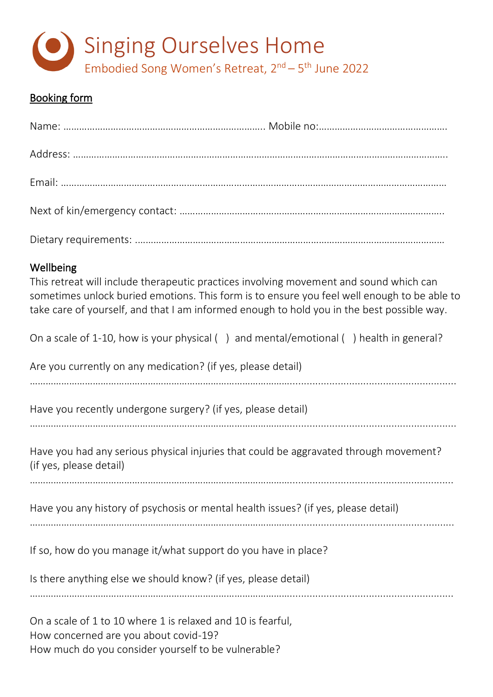

# Booking form

| Wellbeing<br>This retreat will include therapeutic practices involving movement and sound which can<br>sometimes unlock buried emotions. This form is to ensure you feel well enough to be able to<br>take care of yourself, and that I am informed enough to hold you in the best possible way. |
|--------------------------------------------------------------------------------------------------------------------------------------------------------------------------------------------------------------------------------------------------------------------------------------------------|
| On a scale of 1-10, how is your physical () and mental/emotional () health in general?                                                                                                                                                                                                           |
| Are you currently on any medication? (if yes, please detail)                                                                                                                                                                                                                                     |
| Have you recently undergone surgery? (if yes, please detail)                                                                                                                                                                                                                                     |
| Have you had any serious physical injuries that could be aggravated through movement?<br>(if yes, please detail)                                                                                                                                                                                 |
| Have you any history of psychosis or mental health issues? (if yes, please detail)                                                                                                                                                                                                               |

If so, how do you manage it/what support do you have in place?

Is there anything else we should know? (if yes, please detail)

………………………………………………………………………………………..........................................................

On a scale of 1 to 10 where 1 is relaxed and 10 is fearful, How concerned are you about covid-19? How much do you consider yourself to be vulnerable?